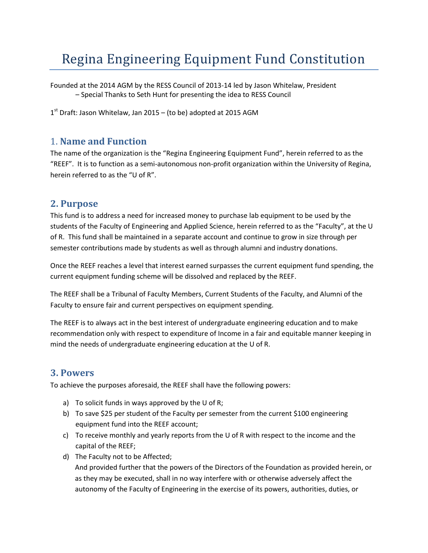# Regina Engineering Equipment Fund Constitution

Founded at the 2014 AGM by the RESS Council of 2013-14 led by Jason Whitelaw, President – Special Thanks to Seth Hunt for presenting the idea to RESS Council

1<sup>st</sup> Draft: Jason Whitelaw, Jan 2015 – (to be) adopted at 2015 AGM

### 1. **Name and Function**

The name of the organization is the "Regina Engineering Equipment Fund", herein referred to as the "REEF". It is to function as a semi-autonomous non-profit organization within the University of Regina, herein referred to as the "U of R".

#### **2. Purpose**

This fund is to address a need for increased money to purchase lab equipment to be used by the students of the Faculty of Engineering and Applied Science, herein referred to as the "Faculty", at the U of R. This fund shall be maintained in a separate account and continue to grow in size through per semester contributions made by students as well as through alumni and industry donations.

Once the REEF reaches a level that interest earned surpasses the current equipment fund spending, the current equipment funding scheme will be dissolved and replaced by the REEF.

The REEF shall be a Tribunal of Faculty Members, Current Students of the Faculty, and Alumni of the Faculty to ensure fair and current perspectives on equipment spending.

The REEF is to always act in the best interest of undergraduate engineering education and to make recommendation only with respect to expenditure of Income in a fair and equitable manner keeping in mind the needs of undergraduate engineering education at the U of R.

#### **3. Powers**

To achieve the purposes aforesaid, the REEF shall have the following powers:

- a) To solicit funds in ways approved by the U of R;
- b) To save \$25 per student of the Faculty per semester from the current \$100 engineering equipment fund into the REEF account;
- c) To receive monthly and yearly reports from the U of R with respect to the income and the capital of the REEF;
- d) The Faculty not to be Affected;

And provided further that the powers of the Directors of the Foundation as provided herein, or as they may be executed, shall in no way interfere with or otherwise adversely affect the autonomy of the Faculty of Engineering in the exercise of its powers, authorities, duties, or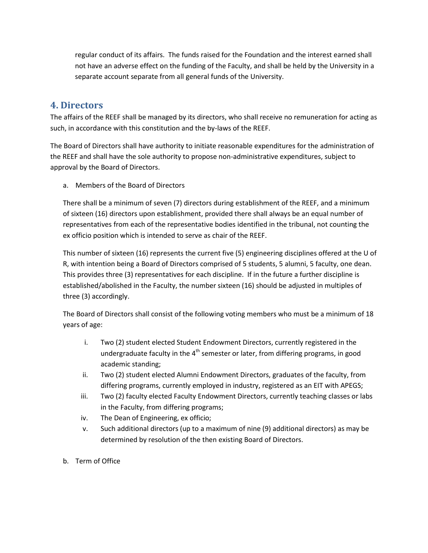regular conduct of its affairs. The funds raised for the Foundation and the interest earned shall not have an adverse effect on the funding of the Faculty, and shall be held by the University in a separate account separate from all general funds of the University.

#### **4. Directors**

The affairs of the REEF shall be managed by its directors, who shall receive no remuneration for acting as such, in accordance with this constitution and the by-laws of the REEF.

The Board of Directors shall have authority to initiate reasonable expenditures for the administration of the REEF and shall have the sole authority to propose non-administrative expenditures, subject to approval by the Board of Directors.

a. Members of the Board of Directors

There shall be a minimum of seven (7) directors during establishment of the REEF, and a minimum of sixteen (16) directors upon establishment, provided there shall always be an equal number of representatives from each of the representative bodies identified in the tribunal, not counting the ex officio position which is intended to serve as chair of the REEF.

This number of sixteen (16) represents the current five (5) engineering disciplines offered at the U of R, with intention being a Board of Directors comprised of 5 students, 5 alumni, 5 faculty, one dean. This provides three (3) representatives for each discipline. If in the future a further discipline is established/abolished in the Faculty, the number sixteen (16) should be adjusted in multiples of three (3) accordingly.

The Board of Directors shall consist of the following voting members who must be a minimum of 18 years of age:

- i. Two (2) student elected Student Endowment Directors, currently registered in the undergraduate faculty in the  $4<sup>th</sup>$  semester or later, from differing programs, in good academic standing;
- ii. Two (2) student elected Alumni Endowment Directors, graduates of the faculty, from differing programs, currently employed in industry, registered as an EIT with APEGS;
- iii. Two (2) faculty elected Faculty Endowment Directors, currently teaching classes or labs in the Faculty, from differing programs;
- iv. The Dean of Engineering, ex officio;
- v. Such additional directors (up to a maximum of nine (9) additional directors) as may be determined by resolution of the then existing Board of Directors.
- b. Term of Office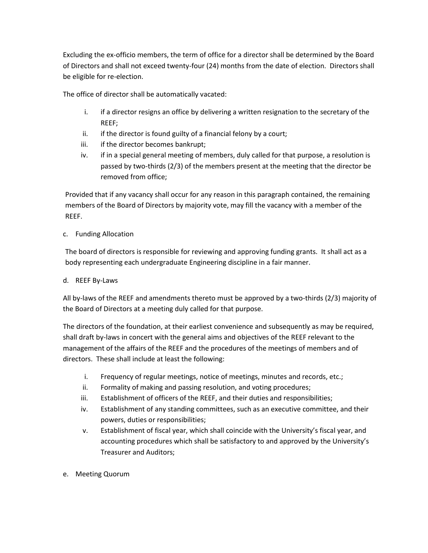Excluding the ex-officio members, the term of office for a director shall be determined by the Board of Directors and shall not exceed twenty-four (24) months from the date of election. Directors shall be eligible for re-election.

The office of director shall be automatically vacated:

- i. if a director resigns an office by delivering a written resignation to the secretary of the REEF;
- ii. if the director is found guilty of a financial felony by a court;
- iii. if the director becomes bankrupt;
- iv. if in a special general meeting of members, duly called for that purpose, a resolution is passed by two-thirds (2/3) of the members present at the meeting that the director be removed from office;

Provided that if any vacancy shall occur for any reason in this paragraph contained, the remaining members of the Board of Directors by majority vote, may fill the vacancy with a member of the REEF.

#### c. Funding Allocation

The board of directors is responsible for reviewing and approving funding grants. It shall act as a body representing each undergraduate Engineering discipline in a fair manner.

#### d. REEF By-Laws

All by-laws of the REEF and amendments thereto must be approved by a two-thirds (2/3) majority of the Board of Directors at a meeting duly called for that purpose.

The directors of the foundation, at their earliest convenience and subsequently as may be required, shall draft by-laws in concert with the general aims and objectives of the REEF relevant to the management of the affairs of the REEF and the procedures of the meetings of members and of directors. These shall include at least the following:

- i. Frequency of regular meetings, notice of meetings, minutes and records, etc.;
- ii. Formality of making and passing resolution, and voting procedures;
- iii. Establishment of officers of the REEF, and their duties and responsibilities;
- iv. Establishment of any standing committees, such as an executive committee, and their powers, duties or responsibilities;
- v. Establishment of fiscal year, which shall coincide with the University's fiscal year, and accounting procedures which shall be satisfactory to and approved by the University's Treasurer and Auditors;
- e. Meeting Quorum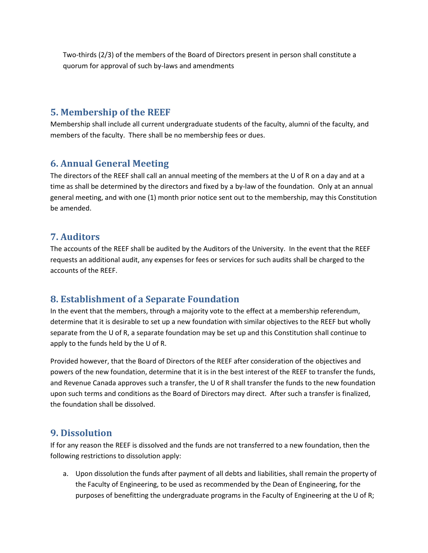Two-thirds (2/3) of the members of the Board of Directors present in person shall constitute a quorum for approval of such by-laws and amendments

### **5. Membership of the REEF**

Membership shall include all current undergraduate students of the faculty, alumni of the faculty, and members of the faculty. There shall be no membership fees or dues.

#### **6. Annual General Meeting**

The directors of the REEF shall call an annual meeting of the members at the U of R on a day and at a time as shall be determined by the directors and fixed by a by-law of the foundation. Only at an annual general meeting, and with one (1) month prior notice sent out to the membership, may this Constitution be amended.

## **7. Auditors**

The accounts of the REEF shall be audited by the Auditors of the University. In the event that the REEF requests an additional audit, any expenses for fees or services for such audits shall be charged to the accounts of the REEF.

# **8. Establishment of a Separate Foundation**

In the event that the members, through a majority vote to the effect at a membership referendum, determine that it is desirable to set up a new foundation with similar objectives to the REEF but wholly separate from the U of R, a separate foundation may be set up and this Constitution shall continue to apply to the funds held by the U of R.

Provided however, that the Board of Directors of the REEF after consideration of the objectives and powers of the new foundation, determine that it is in the best interest of the REEF to transfer the funds, and Revenue Canada approves such a transfer, the U of R shall transfer the funds to the new foundation upon such terms and conditions as the Board of Directors may direct. After such a transfer is finalized, the foundation shall be dissolved.

#### **9. Dissolution**

If for any reason the REEF is dissolved and the funds are not transferred to a new foundation, then the following restrictions to dissolution apply:

a. Upon dissolution the funds after payment of all debts and liabilities, shall remain the property of the Faculty of Engineering, to be used as recommended by the Dean of Engineering, for the purposes of benefitting the undergraduate programs in the Faculty of Engineering at the U of R;